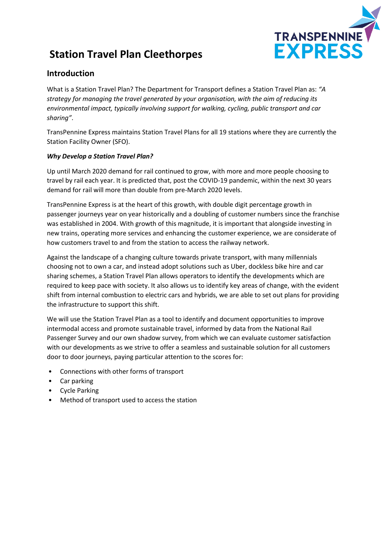

# **Station Travel Plan Cleethorpes**

### **Introduction**

What is a Station Travel Plan? The Department for Transport defines a Station Travel Plan as: *"A strategy for managing the travel generated by your organisation, with the aim of reducing its environmental impact, typically involving support for walking, cycling, public transport and car sharing"*.

TransPennine Express maintains Station Travel Plans for all 19 stations where they are currently the Station Facility Owner (SFO).

#### *Why Develop a Station Travel Plan?*

Up until March 2020 demand for rail continued to grow, with more and more people choosing to travel by rail each year. It is predicted that, post the COVID-19 pandemic, within the next 30 years demand for rail will more than double from pre-March 2020 levels.

TransPennine Express is at the heart of this growth, with double digit percentage growth in passenger journeys year on year historically and a doubling of customer numbers since the franchise was established in 2004. With growth of this magnitude, it is important that alongside investing in new trains, operating more services and enhancing the customer experience, we are considerate of how customers travel to and from the station to access the railway network.

Against the landscape of a changing culture towards private transport, with many millennials choosing not to own a car, and instead adopt solutions such as Uber, dockless bike hire and car sharing schemes, a Station Travel Plan allows operators to identify the developments which are required to keep pace with society. It also allows us to identify key areas of change, with the evident shift from internal combustion to electric cars and hybrids, we are able to set out plans for providing the infrastructure to support this shift.

We will use the Station Travel Plan as a tool to identify and document opportunities to improve intermodal access and promote sustainable travel, informed by data from the National Rail Passenger Survey and our own shadow survey, from which we can evaluate customer satisfaction with our developments as we strive to offer a seamless and sustainable solution for all customers door to door journeys, paying particular attention to the scores for:

- Connections with other forms of transport
- Car parking
- Cycle Parking
- Method of transport used to access the station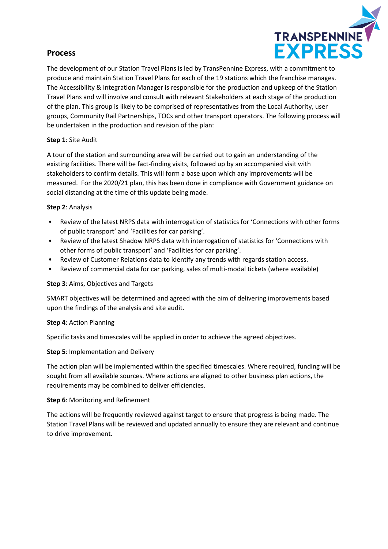### **Process**



The development of our Station Travel Plans is led by TransPennine Express, with a commitment to produce and maintain Station Travel Plans for each of the 19 stations which the franchise manages. The Accessibility & Integration Manager is responsible for the production and upkeep of the Station Travel Plans and will involve and consult with relevant Stakeholders at each stage of the production of the plan. This group is likely to be comprised of representatives from the Local Authority, user groups, Community Rail Partnerships, TOCs and other transport operators. The following process will be undertaken in the production and revision of the plan:

#### **Step 1**: Site Audit

A tour of the station and surrounding area will be carried out to gain an understanding of the existing facilities. There will be fact-finding visits, followed up by an accompanied visit with stakeholders to confirm details. This will form a base upon which any improvements will be measured. For the 2020/21 plan, this has been done in compliance with Government guidance on social distancing at the time of this update being made.

#### **Step 2**: Analysis

- Review of the latest NRPS data with interrogation of statistics for 'Connections with other forms of public transport' and 'Facilities for car parking'.
- Review of the latest Shadow NRPS data with interrogation of statistics for 'Connections with other forms of public transport' and 'Facilities for car parking'.
- Review of Customer Relations data to identify any trends with regards station access.
- Review of commercial data for car parking, sales of multi-modal tickets (where available)

#### **Step 3**: Aims, Objectives and Targets

SMART objectives will be determined and agreed with the aim of delivering improvements based upon the findings of the analysis and site audit.

#### **Step 4**: Action Planning

Specific tasks and timescales will be applied in order to achieve the agreed objectives.

#### **Step 5**: Implementation and Delivery

The action plan will be implemented within the specified timescales. Where required, funding will be sought from all available sources. Where actions are aligned to other business plan actions, the requirements may be combined to deliver efficiencies.

#### **Step 6**: Monitoring and Refinement

The actions will be frequently reviewed against target to ensure that progress is being made. The Station Travel Plans will be reviewed and updated annually to ensure they are relevant and continue to drive improvement.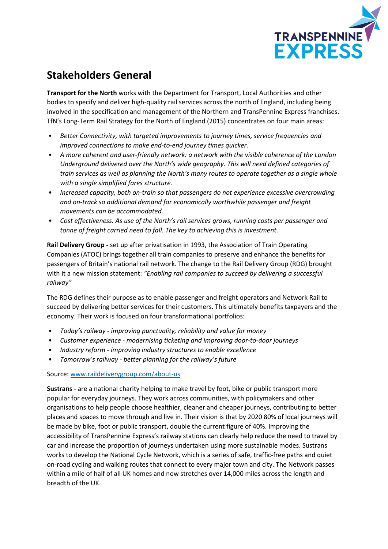

# **Stakeholders General**

**Transport for the North** works with the Department for Transport, Local Authorities and other bodies to specify and deliver high-quality rail services across the north of England, including being involved in the specification and management of the Northern and TransPennine Express franchises. TfN's Long-Term Rail Strategy for the North of England (2015) concentrates on four main areas:

- *Better Connectivity, with targeted improvements to journey times, service frequencies and improved connections to make end-to-end journey times quicker.*
- *A more coherent and user-friendly network: a network with the visible coherence of the London Underground delivered over the North's wide geography. This will need defined categories of train services as well as planning the North's many routes to operate together as a single whole with a single simplified fares structure.*
- *Increased capacity, both on-train so that passengers do not experience excessive overcrowding and on-track so additional demand for economically worthwhile passenger and freight movements can be accommodated.*
- *Cost effectiveness. As use of the North's rail services grows, running costs per passenger and tonne of freight carried need to fall. The key to achieving this is investment.*

**Rail Delivery Group -** set up after privatisation in 1993, the Association of Train Operating Companies (ATOC) brings together all train companies to preserve and enhance the benefits for passengers of Britain's national rail network. The change to the Rail Delivery Group (RDG) brought with it a new mission statement: *"Enabling rail companies to succeed by delivering a successful railway"*

The RDG defines their purpose as to enable passenger and freight operators and Network Rail to succeed by delivering better services for their customers. This ultimately benefits taxpayers and the economy. Their work is focused on four transformational portfolios:

- *Today's railway - improving punctuality, reliability and value for money*
- *Customer experience - modernising ticketing and improving door-to-door journeys*
- *Industry reform - improving industry structures to enable excellence*
- *Tomorrow's railway - better planning for the railway's future*

Source: [www.raildeliverygroup.com/about-us](http://www.raildeliverygroup.com/about-us)

**Sustrans -** are a national charity helping to make travel by foot, bike or public transport more popular for everyday journeys. They work across communities, with policymakers and other organisations to help people choose healthier, cleaner and cheaper journeys, contributing to better places and spaces to move through and live in. Their vision is that by 2020 80% of local journeys will be made by bike, foot or public transport, double the current figure of 40%. Improving the accessibility of TransPennine Express's railway stations can clearly help reduce the need to travel by car and increase the proportion of journeys undertaken using more sustainable modes. Sustrans works to develop the National Cycle Network, which is a series of safe, traffic-free paths and quiet on-road cycling and walking routes that connect to every major town and city. The Network passes within a mile of half of all UK homes and now stretches over 14,000 miles across the length and breadth of the UK.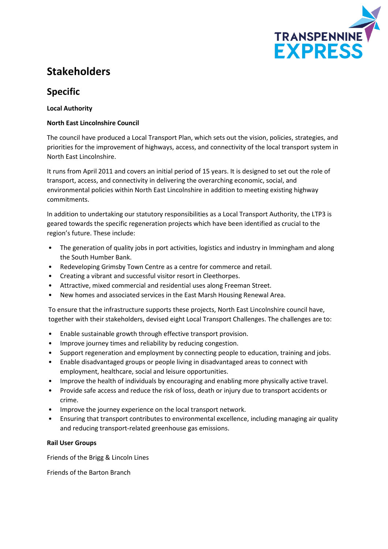

# **Stakeholders**

## **Specific**

#### **Local Authority**

#### **North East Lincolnshire Council**

The council have produced a Local Transport Plan, which sets out the vision, policies, strategies, and priorities for the improvement of highways, access, and connectivity of the local transport system in North East Lincolnshire.

It runs from April 2011 and covers an initial period of 15 years. It is designed to set out the role of transport, access, and connectivity in delivering the overarching economic, social, and environmental policies within North East Lincolnshire in addition to meeting existing highway commitments.

In addition to undertaking our statutory responsibilities as a Local Transport Authority, the LTP3 is geared towards the specific regeneration projects which have been identified as crucial to the region's future. These include:

- The generation of quality jobs in port activities, logistics and industry in Immingham and along the South Humber Bank.
- Redeveloping Grimsby Town Centre as a centre for commerce and retail.
- Creating a vibrant and successful visitor resort in Cleethorpes.
- Attractive, mixed commercial and residential uses along Freeman Street.
- New homes and associated services in the East Marsh Housing Renewal Area.

To ensure that the infrastructure supports these projects, North East Lincolnshire council have, together with their stakeholders, devised eight Local Transport Challenges. The challenges are to:

- Enable sustainable growth through effective transport provision.
- Improve journey times and reliability by reducing congestion.
- Support regeneration and employment by connecting people to education, training and jobs.
- Enable disadvantaged groups or people living in disadvantaged areas to connect with employment, healthcare, social and leisure opportunities.
- Improve the health of individuals by encouraging and enabling more physically active travel.
- Provide safe access and reduce the risk of loss, death or injury due to transport accidents or crime.
- Improve the journey experience on the local transport network.
- Ensuring that transport contributes to environmental excellence, including managing air quality and reducing transport-related greenhouse gas emissions.

#### **Rail User Groups**

Friends of the Brigg & Lincoln Lines

Friends of the Barton Branch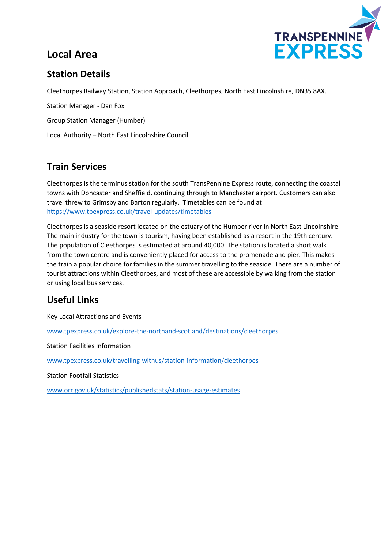# **Local Area**



## **Station Details**

Cleethorpes Railway Station, Station Approach, Cleethorpes, North East Lincolnshire, DN35 8AX.

Station Manager - Dan Fox Group Station Manager (Humber) Local Authority – North East Lincolnshire Council

## **Train Services**

Cleethorpes is the terminus station for the south TransPennine Express route, connecting the coastal towns with Doncaster and Sheffield, continuing through to Manchester airport. Customers can also travel threw to Grimsby and Barton regularly. Timetables can be found at <https://www.tpexpress.co.uk/travel-updates/timetables>

Cleethorpes is a seaside resort located on the estuary of the Humber river in North East Lincolnshire. The main industry for the town is tourism, having been established as a resort in the 19th century. The population of Cleethorpes is estimated at around 40,000. The station is located a short walk from the town centre and is conveniently placed for access to the promenade and pier. This makes the train a popular choice for families in the summer travelling to the seaside. There are a number of tourist attractions within Cleethorpes, and most of these are accessible by walking from the station or using local bus services.

## **Useful Links**

Key Local Attractions and Events

[www.tpexpress.co.uk/explore-the-northand-scotland/destinations/cleethorpes](http://www.tpexpress.co.uk/explore-the-northand-scotland/destinations/cleethorpes)

Station Facilities Information

[www.tpexpress.co.uk/travelling-withus/station-information/cleethorpes](http://www.tpexpress.co.uk/travelling-withus/station-information/cleethorpes)

Station Footfall Statistics

[www.orr.gov.uk/statistics/publishedstats/station-usage-estimates](http://www.orr.gov.uk/statistics/publishedstats/station-usage-estimates)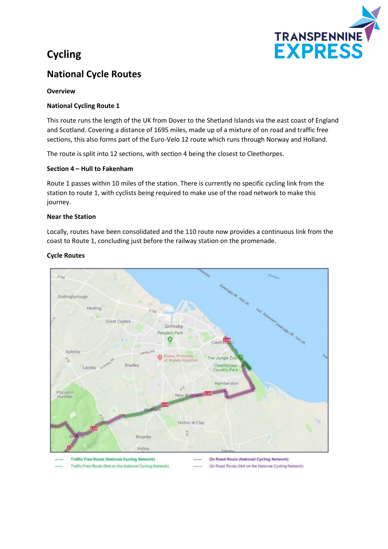# **Cycling**



## **National Cycle Routes**

#### **Overview**

#### **National Cycling Route 1**

This route runs the length of the UK from Dover to the Shetland Islands via the east coast of England and Scotland. Covering a distance of 1695 miles, made up of a mixture of on road and traffic free sections, this also forms part of the Euro-Velo 12 route which runs through Norway and Holland.

The route is split into 12 sections, with section 4 being the closest to Cleethorpes.

#### **Section 4 – Hull to Fakenham**

Traffic Free Route (Not on the National Cycling Network)

Route 1 passes within 10 miles of the station. There is currently no specific cycling link from the station to route 1, with cyclists being required to make use of the road network to make this journey.

#### **Near the Station**

Locally, routes have been consolidated and the 110 route now provides a continuous link from the coast to Route 1, concluding just before the railway station on the promenade.



#### **Cycle Routes**

On Road Route (National Cycling Network) On Road Route (Not on the National Cycling Network)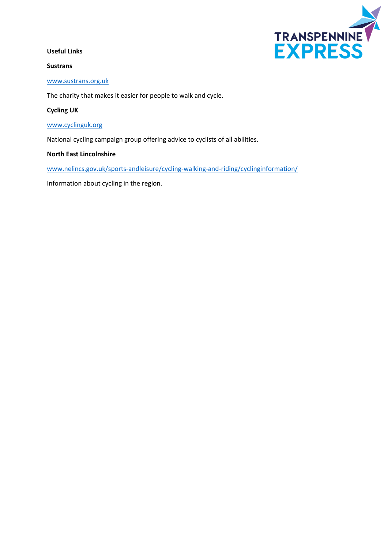#### **Useful Links**

#### **Sustrans**



#### [www.sustrans.org.uk](http://www.sustrans.org.uk/)

The charity that makes it easier for people to walk and cycle.

#### **Cycling UK**

#### [www.cyclinguk.org](http://www.cyclinguk.org/)

National cycling campaign group offering advice to cyclists of all abilities.

#### **North East Lincolnshire**

[www.nelincs.gov.uk/sports-andleisure/cycling-walking-and-riding/cyclinginformation/](http://www.nelincs.gov.uk/sports-andleisure/cycling-walking-and-riding/cyclinginformation/)

Information about cycling in the region.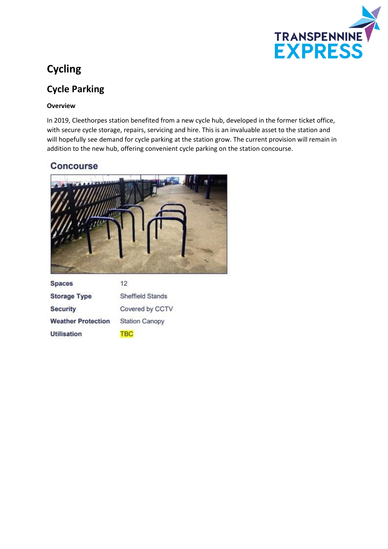

# **Cycling**

## **Cycle Parking**

#### **Overview**

In 2019, Cleethorpes station benefited from a new cycle hub, developed in the former ticket office, with secure cycle storage, repairs, servicing and hire. This is an invaluable asset to the station and will hopefully see demand for cycle parking at the station grow. The current provision will remain in addition to the new hub, offering convenient cycle parking on the station concourse.

### **Concourse**



| <b>Spaces</b>             | $12^{\circ}$            |
|---------------------------|-------------------------|
| <b>Storage Type</b>       | <b>Sheffield Stands</b> |
| <b>Security</b>           | Covered by CCTV         |
| <b>Weather Protection</b> | <b>Station Canopy</b>   |
| <b>Utilisation</b>        | <b>BO</b>               |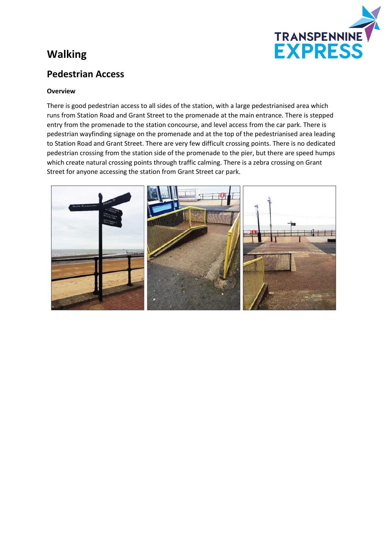# **Walking**



### **Pedestrian Access**

#### **Overview**

There is good pedestrian access to all sides of the station, with a large pedestrianised area which runs from Station Road and Grant Street to the promenade at the main entrance. There is stepped entry from the promenade to the station concourse, and level access from the car park. There is pedestrian wayfinding signage on the promenade and at the top of the pedestrianised area leading to Station Road and Grant Street. There are very few difficult crossing points. There is no dedicated pedestrian crossing from the station side of the promenade to the pier, but there are speed humps which create natural crossing points through traffic calming. There is a zebra crossing on Grant Street for anyone accessing the station from Grant Street car park.

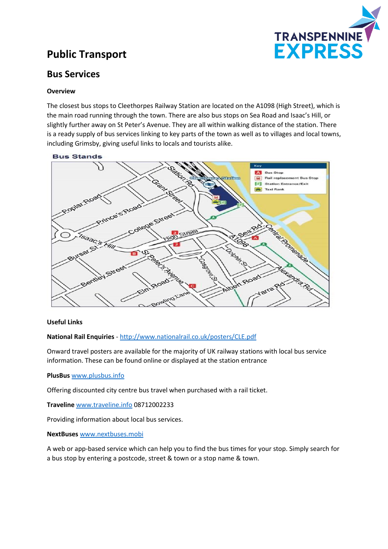

# **Public Transport**

### **Bus Services**

#### **Overview**

The closest bus stops to Cleethorpes Railway Station are located on the A1098 (High Street), which is the main road running through the town. There are also bus stops on Sea Road and Isaac's Hill, or slightly further away on St Peter's Avenue. They are all within walking distance of the station. There is a ready supply of bus services linking to key parts of the town as well as to villages and local towns, including Grimsby, giving useful links to locals and tourists alike.



#### **Useful Links**

#### **National Rail Enquiries** - <http://www.nationalrail.co.uk/posters/CLE.pdf>

Onward travel posters are available for the majority of UK railway stations with local bus service information. These can be found online or displayed at the station entrance

#### **PlusBus** [www.plusbus.info](http://www.plusbus.info/)

Offering discounted city centre bus travel when purchased with a rail ticket.

**Traveline** [www.traveline.info](http://www.traveline.info/) 08712002233

Providing information about local bus services.

#### **NextBuses** [www.nextbuses.mobi](http://www.nextbuses.mobi/)

A web or app-based service which can help you to find the bus times for your stop. Simply search for a bus stop by entering a postcode, street & town or a stop name & town.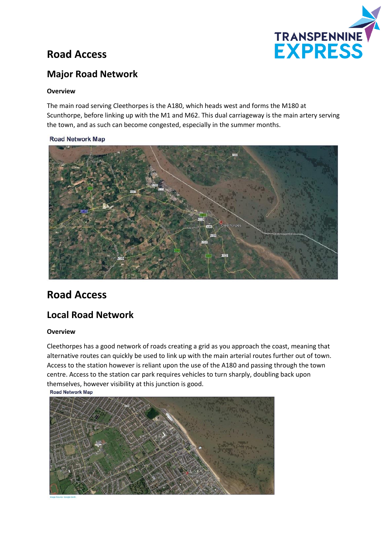

# **Road Access**

## **Major Road Network**

#### **Overview**

The main road serving Cleethorpes is the A180, which heads west and forms the M180 at Scunthorpe, before linking up with the M1 and M62. This dual carriageway is the main artery serving the town, and as such can become congested, especially in the summer months.

#### **Road Network Map**



## **Road Access**

### **Local Road Network**

#### **Overview**

Cleethorpes has a good network of roads creating a grid as you approach the coast, meaning that alternative routes can quickly be used to link up with the main arterial routes further out of town. Access to the station however is reliant upon the use of the A180 and passing through the town centre. Access to the station car park requires vehicles to turn sharply, doubling back upon themselves, however visibility at this junction is good.<br>Road Network Map

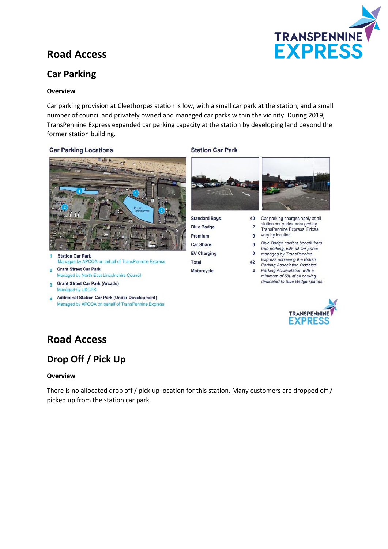

# **Road Access**

## **Car Parking**

#### **Overview**

Car parking provision at Cleethorpes station is low, with a small car park at the station, and a small number of council and privately owned and managed car parks within the vicinity. During 2019, TransPennine Express expanded car parking capacity at the station by developing land beyond the former station building.

#### **Car Parking Locations**



**Station Car Park** Managed by APCOA on behalf of TransPennine Express

- **Grant Street Car Park**  $\overline{2}$ Managed by North East Lincolnshire Council
- **Grant Street Car Park (Arcade)**  $\overline{\mathbf{z}}$ Managed by UKCPS
- **Additional Station Car Park (Under Development)** Managed by APCOA on behalf of TransPennine Express

#### **Station Car Park**



40

 $\overline{2}$ 

**Standard Bays Blue Badge** Premium **Car Share EV Charging** Total Motorcycle



- Car parking charges apply at all station car parks managed by TransPennine Express. Prices vary by location.
- $\mathbf{0}$ Blue Badge holders benefit from  $\mathbf{0}$
- free parking, with all car parks  $\mathbf{0}$ managed by TransPennine
- Express achieving the British 42
- **Parking Association Disabled**  $\overline{4}$ Parking Accreditation with a minimum of 5% of all parking dedicated to Blue Badge spaces.



## **Road Access**

## **Drop Off / Pick Up**

#### **Overview**

There is no allocated drop off / pick up location for this station. Many customers are dropped off / picked up from the station car park.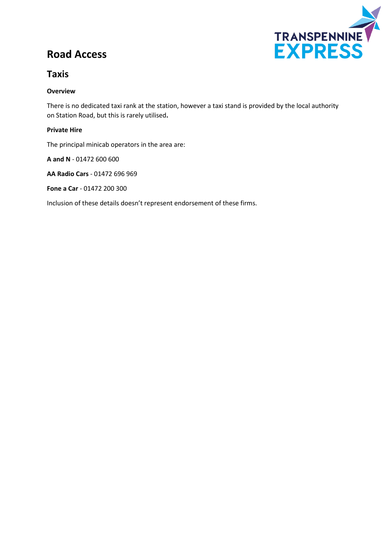# **Road Access**



### **Taxis**

#### **Overview**

There is no dedicated taxi rank at the station, however a taxi stand is provided by the local authority on Station Road, but this is rarely utilised**.**

#### **Private Hire**

The principal minicab operators in the area are:

**A and N** - 01472 600 600

**AA Radio Cars** - 01472 696 969

**Fone a Car** - 01472 200 300

Inclusion of these details doesn't represent endorsement of these firms.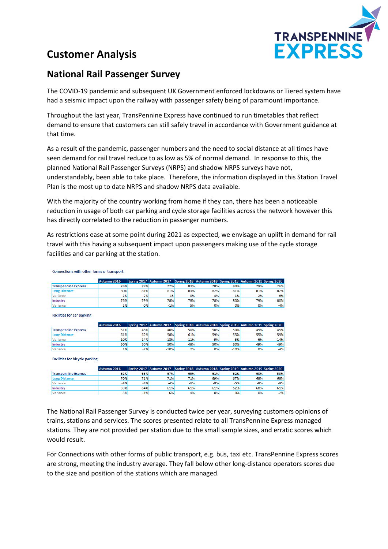

# **Customer Analysis**

### **National Rail Passenger Survey**

The COVID-19 pandemic and subsequent UK Government enforced lockdowns or Tiered system have had a seismic impact upon the railway with passenger safety being of paramount importance.

Throughout the last year, TransPennine Express have continued to run timetables that reflect demand to ensure that customers can still safely travel in accordance with Government guidance at that time.

As a result of the pandemic, passenger numbers and the need to social distance at all times have seen demand for rail travel reduce to as low as 5% of normal demand. In response to this, the planned National Rail Passenger Surveys (NRPS) and shadow NRPS surveys have not, understandably, been able to take place. Therefore, the information displayed in this Station Travel Plan is the most up to date NRPS and shadow NRPS data available.

With the majority of the country working from home if they can, there has been a noticeable reduction in usage of both car parking and cycle storage facilities across the network however this has directly correlated to the reduction in passenger numbers.

As restrictions ease at some point during 2021 as expected, we envisage an uplift in demand for rail travel with this having a subsequent impact upon passengers making use of the cycle storage facilities and car parking at the station.

Connections with other forms of transport

|                             | Autumn 2016 |       | Spring 2017 Autumn 2017 Spring 2018 Autumn 2018 Spring 2019 Autumn 2019 Spring 2020 |     |       |       |       |       |
|-----------------------------|-------------|-------|-------------------------------------------------------------------------------------|-----|-------|-------|-------|-------|
| <b>Transpennine Express</b> | 78%         | 79%   | 77%                                                                                 | 83% | 78%   | 80%   | 79%   | 76%   |
| <b>Long Distance</b>        | 80%         | 81%   | 81%                                                                                 | 83% | 82%   | 81%   | 81%   | 82%   |
| Variance                    | $-2%$       | $-2%$ | $-45$                                                                               | 0%  | $-4%$ | $-1%$ | $-2%$ | $-6%$ |
| Industry                    | 76%         | 79%   | 78%                                                                                 | 78% | 78%   | 80%   | 79%   | 80%   |
| Variance                    | 2%          | 0%    | $-1%$                                                                               | 5%  | 0%    | 0%    | 0%    | $-4%$ |

**Facilities for car parking** 

|                             | Autumn 2016 |        | Spring 2017 Autumn 2017 |        | Spring 2018 Autumn 2018 Spring 2019 Autumn 2019 Spring 2020 |        |       |        |
|-----------------------------|-------------|--------|-------------------------|--------|-------------------------------------------------------------|--------|-------|--------|
| <b>Transpennine Express</b> | 51%         | 48%    | 40%                     | 50%    | 50%                                                         | 50%    | 49%   | 45%    |
| Long Distance               | 61%         | 62%    | 58%                     | 61%    | 59%                                                         | 55%    | 55%   | 59%    |
| <b>Variance</b>             | $-10%$      | $-14%$ | $-18%$                  | $-11%$ | $-9%$                                                       | $-5%$  | $-6%$ | $-14%$ |
| Industry                    | 50%         | 50%    | 50%                     | 48%    | 50%                                                         | 60%    | 49%   | 49%    |
| <b>Variance</b>             | 1%          | $-2%$  | $-10%$                  | 2%     | 0%                                                          | $-10%$ | 0%    | $-4%$  |

**Facilities for bicycle parking** 

|                             | Autumn 2016 |       | Spring 2017 Autumn 2017 Spring 2018 Autumn 2018 Spring 2019 Autumn 2019 Spring 2020 |       |       |       |       |       |
|-----------------------------|-------------|-------|-------------------------------------------------------------------------------------|-------|-------|-------|-------|-------|
| <b>Transpennine Express</b> | 62%         | 63%   | 67%                                                                                 | 65%   | 61%   | 62%   | 60%   | 59%   |
| <b>Long Distance</b>        | 70%         | 71%   | 71%                                                                                 | 71%   | 69%   | 67%   | 68%   | 68%   |
| Variance                    | $-8%$       | $-8%$ | $-4%$                                                                               | $-6%$ | $-8%$ | $-5%$ | $-8%$ | $-9%$ |
| Industry                    | 59%         | 64%   | 61%                                                                                 | 61%   | 61%   | 62%   | 60%   | 61%   |
| <b>Variance</b>             | 3%          | $-1%$ | 6%                                                                                  | 4%    | 0%    | 0%    | 0%    | $-2%$ |

The National Rail Passenger Survey is conducted twice per year, surveying customers opinions of trains, stations and services. The scores presented relate to all TransPennine Express managed stations. They are not provided per station due to the small sample sizes, and erratic scores which would result.

For Connections with other forms of public transport, e.g. bus, taxi etc. TransPennine Express scores are strong, meeting the industry average. They fall below other long-distance operators scores due to the size and position of the stations which are managed.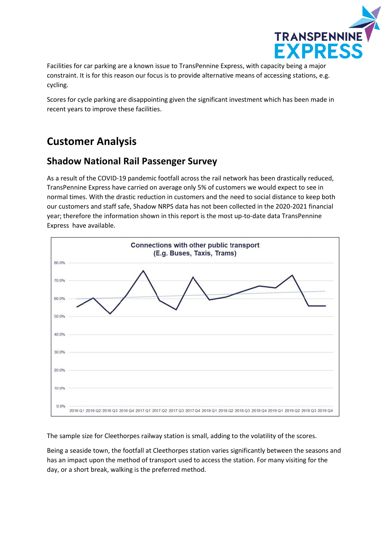

Facilities for car parking are a known issue to TransPennine Express, with capacity being a major constraint. It is for this reason our focus is to provide alternative means of accessing stations, e.g. cycling.

Scores for cycle parking are disappointing given the significant investment which has been made in recent years to improve these facilities.

# **Customer Analysis**

### **Shadow National Rail Passenger Survey**

As a result of the COVID-19 pandemic footfall across the rail network has been drastically reduced, TransPennine Express have carried on average only 5% of customers we would expect to see in normal times. With the drastic reduction in customers and the need to social distance to keep both our customers and staff safe, Shadow NRPS data has not been collected in the 2020-2021 financial year; therefore the information shown in this report is the most up-to-date data TransPennine Express have available.



The sample size for Cleethorpes railway station is small, adding to the volatility of the scores.

Being a seaside town, the footfall at Cleethorpes station varies significantly between the seasons and has an impact upon the method of transport used to access the station. For many visiting for the day, or a short break, walking is the preferred method.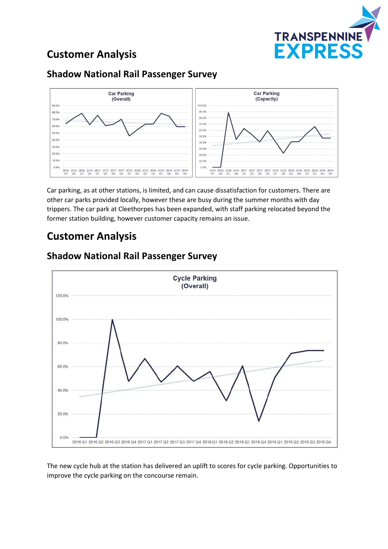

# **Customer Analysis**

### **Shadow National Rail Passenger Survey**



Car parking, as at other stations, is limited, and can cause dissatisfaction for customers. There are other car parks provided locally, however these are busy during the summer months with day trippers. The car park at Cleethorpes has been expanded, with staff parking relocated beyond the former station building, however customer capacity remains an issue.

# **Customer Analysis**



### **Shadow National Rail Passenger Survey**

The new cycle hub at the station has delivered an uplift to scores for cycle parking. Opportunities to improve the cycle parking on the concourse remain.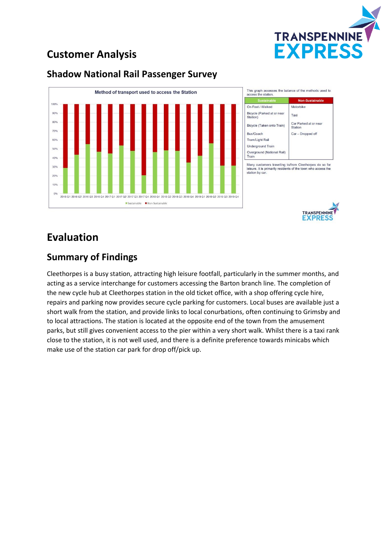

# **Customer Analysis**

### **Shadow National Rail Passenger Survey**





## **Evaluation**

### **Summary of Findings**

Cleethorpes is a busy station, attracting high leisure footfall, particularly in the summer months, and acting as a service interchange for customers accessing the Barton branch line. The completion of the new cycle hub at Cleethorpes station in the old ticket office, with a shop offering cycle hire, repairs and parking now provides secure cycle parking for customers. Local buses are available just a short walk from the station, and provide links to local conurbations, often continuing to Grimsby and to local attractions. The station is located at the opposite end of the town from the amusement parks, but still gives convenient access to the pier within a very short walk. Whilst there is a taxi rank close to the station, it is not well used, and there is a definite preference towards minicabs which make use of the station car park for drop off/pick up.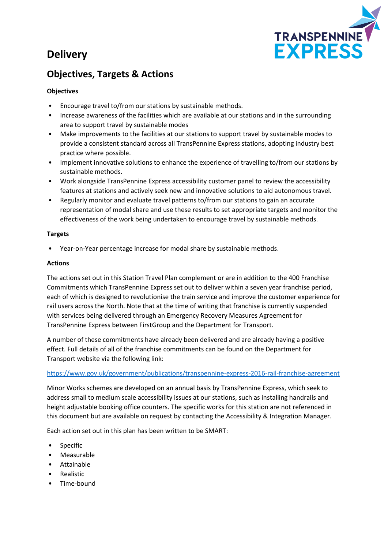# **Delivery**



## **Objectives, Targets & Actions**

#### **Objectives**

- Encourage travel to/from our stations by sustainable methods.
- Increase awareness of the facilities which are available at our stations and in the surrounding area to support travel by sustainable modes
- Make improvements to the facilities at our stations to support travel by sustainable modes to provide a consistent standard across all TransPennine Express stations, adopting industry best practice where possible.
- Implement innovative solutions to enhance the experience of travelling to/from our stations by sustainable methods.
- Work alongside TransPennine Express accessibility customer panel to review the accessibility features at stations and actively seek new and innovative solutions to aid autonomous travel.
- Regularly monitor and evaluate travel patterns to/from our stations to gain an accurate representation of modal share and use these results to set appropriate targets and monitor the effectiveness of the work being undertaken to encourage travel by sustainable methods.

#### **Targets**

• Year-on-Year percentage increase for modal share by sustainable methods.

#### **Actions**

The actions set out in this Station Travel Plan complement or are in addition to the 400 Franchise Commitments which TransPennine Express set out to deliver within a seven year franchise period, each of which is designed to revolutionise the train service and improve the customer experience for rail users across the North. Note that at the time of writing that franchise is currently suspended with services being delivered through an Emergency Recovery Measures Agreement for TransPennine Express between FirstGroup and the Department for Transport.

A number of these commitments have already been delivered and are already having a positive effect. Full details of all of the franchise commitments can be found on the Department for Transport website via the following link:

#### <https://www.gov.uk/government/publications/transpennine-express-2016-rail-franchise-agreement>

Minor Works schemes are developed on an annual basis by TransPennine Express, which seek to address small to medium scale accessibility issues at our stations, such as installing handrails and height adjustable booking office counters. The specific works for this station are not referenced in this document but are available on request by contacting the Accessibility & Integration Manager.

Each action set out in this plan has been written to be SMART:

- Specific
- Measurable
- Attainable
- Realistic
- Time-bound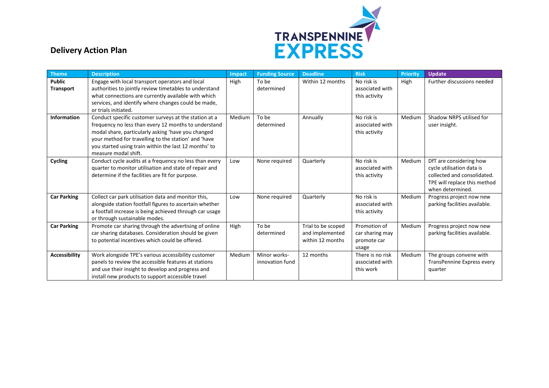

## **Delivery Action Plan**

| <b>Theme</b>               | <b>Description</b>                                                                                                                                                                                                                                                                                           | Impact | <b>Funding Source</b>           | <b>Deadline</b>                                           | <b>Risk</b>                                             | <b>Priority</b> | <b>Update</b>                                                                                                                           |
|----------------------------|--------------------------------------------------------------------------------------------------------------------------------------------------------------------------------------------------------------------------------------------------------------------------------------------------------------|--------|---------------------------------|-----------------------------------------------------------|---------------------------------------------------------|-----------------|-----------------------------------------------------------------------------------------------------------------------------------------|
| <b>Public</b><br>Transport | Engage with local transport operators and local<br>authorities to jointly review timetables to understand<br>what connections are currently available with which<br>services, and identify where changes could be made,<br>or trials initiated.                                                              | High   | To be<br>determined             | Within 12 months                                          | No risk is<br>associated with<br>this activity          | High            | Further discussions needed                                                                                                              |
| <b>Information</b>         | Conduct specific customer surveys at the station at a<br>frequency no less than every 12 months to understand<br>modal share, particularly asking 'have you changed<br>your method for travelling to the station' and 'have<br>you started using train within the last 12 months' to<br>measure modal shift. | Medium | To be<br>determined             | Annually                                                  | No risk is<br>associated with<br>this activity          | Medium          | Shadow NRPS utilised for<br>user insight.                                                                                               |
| Cycling                    | Conduct cycle audits at a frequency no less than every<br>quarter to monitor utilisation and state of repair and<br>determine if the facilities are fit for purpose.                                                                                                                                         | Low    | None required                   | Quarterly                                                 | No risk is<br>associated with<br>this activity          | Medium          | DfT are considering how<br>cycle utilisation data is<br>collected and consolidated.<br>TPE will replace this method<br>when determined. |
| <b>Car Parking</b>         | Collect car park utilisation data and monitor this,<br>alongside station footfall figures to ascertain whether<br>a footfall increase is being achieved through car usage<br>or through sustainable modes.                                                                                                   | Low    | None required                   | Quarterly                                                 | No risk is<br>associated with<br>this activity          | Medium          | Progress project now new<br>parking facilities available.                                                                               |
| <b>Car Parking</b>         | Promote car sharing through the advertising of online<br>car sharing databases. Consideration should be given<br>to potential incentives which could be offered.                                                                                                                                             | High   | To be<br>determined             | Trial to be scoped<br>and implemented<br>within 12 months | Promotion of<br>car sharing may<br>promote car<br>usage | Medium          | Progress project now new<br>parking facilities available.                                                                               |
| <b>Accessibility</b>       | Work alongside TPE's various accessibility customer<br>panels to review the accessible features at stations<br>and use their insight to develop and progress and<br>install new products to support accessible travel                                                                                        | Medium | Minor works-<br>innovation fund | 12 months                                                 | There is no risk<br>associated with<br>this work        | Medium          | The groups convene with<br>TransPennine Express every<br>quarter                                                                        |